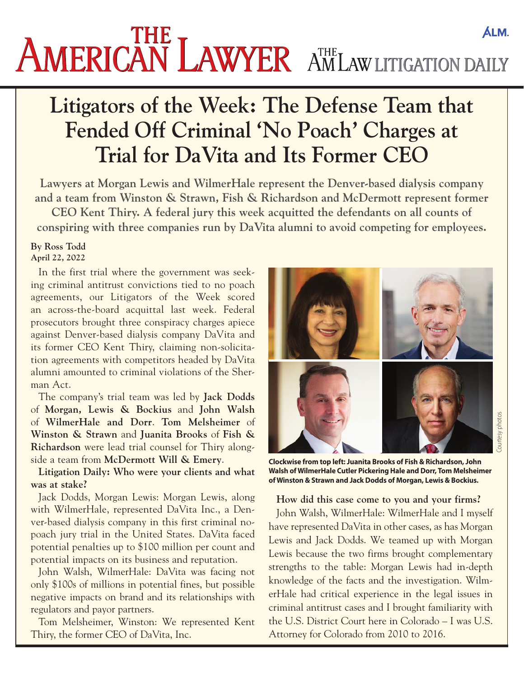# **AMERICAN LAWYER** AMLAW LITIGATION DAILY

## **Litigators of the Week: The Defense Team that Fended Off Criminal 'No Poach' Charges at Trial for DaVita and Its Former CEO**

**Lawyers at Morgan Lewis and WilmerHale represent the Denver-based dialysis company and a team from Winston & Strawn, Fish & Richardson and McDermott represent former CEO Kent Thiry. A federal jury this week acquitted the defendants on all counts of conspiring with three companies run by DaVita alumni to avoid competing for employees.**

#### **By Ross Todd April 22, 2022**

In the first trial where the government was seeking criminal antitrust convictions tied to no poach agreements, our Litigators of the Week scored an [across-the-board acquittal](https://drive.google.com/file/d/1STqIRjlRLYbh8-UnHZP3qScEIy1sBThH/view?usp=sharing) last week. Federal prosecutors brought three conspiracy charges apiece against Denver-based dialysis company DaVita and its former CEO Kent Thiry, claiming non-solicitation agreements with competitors headed by DaVita alumni amounted to criminal violations of the Sherman Act.

The company's trial team was led by **Jack Dodds** of **Morgan, Lewis & Bockius** and **John Walsh** of **WilmerHale and Dorr**. **Tom Melsheimer** of **Winston & Strawn** and **Juanita Brooks** of **Fish & Richardson** were lead trial counsel for Thiry alongside a team from **McDermott Will & Emery**.

**Litigation Daily: Who were your clients and what was at stake?**

Jack Dodds, Morgan Lewis: Morgan Lewis, along with WilmerHale, represented DaVita Inc., a Denver-based dialysis company in this first criminal nopoach jury trial in the United States. DaVita faced potential penalties up to \$100 million per count and potential impacts on its business and reputation.

John Walsh, WilmerHale: DaVita was facing not only \$100s of millions in potential fines, but possible negative impacts on brand and its relationships with regulators and payor partners.

Tom Melsheimer, Winston: We represented Kent Thiry, the former CEO of DaVita, Inc.



**Clockwise from top left: Juanita Brooks of Fish & Richardson, John Walsh of WilmerHale Cutler Pickering Hale and Dorr, Tom Melsheimer of Winston & Strawn and Jack Dodds of Morgan, Lewis & Bockius.**

### **How did this case come to you and your firms?**

John Walsh, WilmerHale: WilmerHale and I myself have represented DaVita in other cases, as has Morgan Lewis and Jack Dodds. We teamed up with Morgan Lewis because the two firms brought complementary strengths to the table: Morgan Lewis had in-depth knowledge of the facts and the investigation. WilmerHale had critical experience in the legal issues in criminal antitrust cases and I brought familiarity with the U.S. District Court here in Colorado – I was U.S. Attorney for Colorado from 2010 to 2016.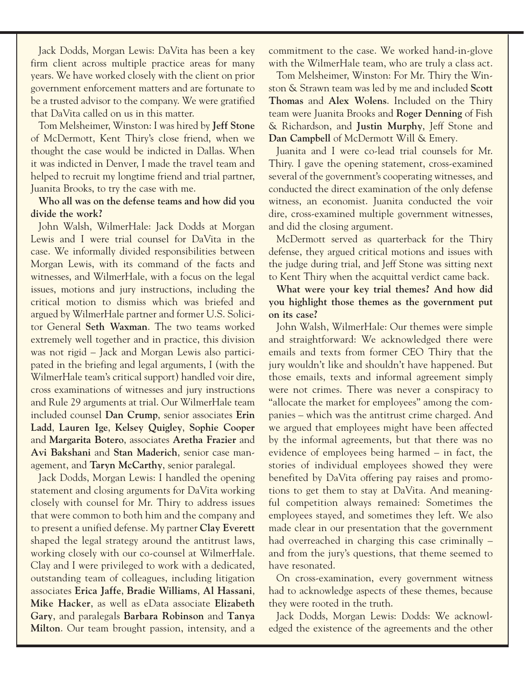Jack Dodds, Morgan Lewis: DaVita has been a key firm client across multiple practice areas for many years. We have worked closely with the client on prior government enforcement matters and are fortunate to be a trusted advisor to the company. We were gratified that DaVita called on us in this matter.

Tom Melsheimer, Winston: I was hired by **Jeff Stone** of McDermott, Kent Thiry's close friend, when we thought the case would be indicted in Dallas. When it was indicted in Denver, I made the travel team and helped to recruit my longtime friend and trial partner, Juanita Brooks, to try the case with me.

### **Who all was on the defense teams and how did you divide the work?**

John Walsh, WilmerHale: Jack Dodds at Morgan Lewis and I were trial counsel for DaVita in the case. We informally divided responsibilities between Morgan Lewis, with its command of the facts and witnesses, and WilmerHale, with a focus on the legal issues, motions and jury instructions, including the critical motion to dismiss which was briefed and argued by WilmerHale partner and former U.S. Solicitor General **Seth Waxman**. The two teams worked extremely well together and in practice, this division was not rigid – Jack and Morgan Lewis also participated in the briefing and legal arguments, I (with the WilmerHale team's critical support) handled voir dire, cross examinations of witnesses and jury instructions and Rule 29 arguments at trial. Our WilmerHale team included counsel **Dan Crump**, senior associates **Erin Ladd**, **Lauren Ige**, **Kelsey Quigley**, **Sophie Cooper** and **Margarita Botero**, associates **Aretha Frazier** and **Avi Bakshani** and **Stan Maderich**, senior case management, and **Taryn McCarthy**, senior paralegal.

Jack Dodds, Morgan Lewis: I handled the opening statement and closing arguments for DaVita working closely with counsel for Mr. Thiry to address issues that were common to both him and the company and to present a unified defense. My partner **Clay Everett** shaped the legal strategy around the antitrust laws, working closely with our co-counsel at WilmerHale. Clay and I were privileged to work with a dedicated, outstanding team of colleagues, including litigation associates **Erica Jaffe**, **Bradie Williams**, **Al Hassani**, **Mike Hacker**, as well as eData associate **Elizabeth Gary**, and paralegals **Barbara Robinson** and **Tanya Milton**. Our team brought passion, intensity, and a

commitment to the case. We worked hand-in-glove with the WilmerHale team, who are truly a class act.

Tom Melsheimer, Winston: For Mr. Thiry the Winston & Strawn team was led by me and included **Scott Thomas** and **Alex Wolens**. Included on the Thiry team were Juanita Brooks and **Roger Denning** of Fish & Richardson, and **Justin Murphy**, Jeff Stone and **Dan Campbell** of McDermott Will & Emery.

Juanita and I were co-lead trial counsels for Mr. Thiry. I gave the opening statement, cross-examined several of the government's cooperating witnesses, and conducted the direct examination of the only defense witness, an economist. Juanita conducted the voir dire, cross-examined multiple government witnesses, and did the closing argument.

McDermott served as quarterback for the Thiry defense, they argued critical motions and issues with the judge during trial, and Jeff Stone was sitting next to Kent Thiry when the acquittal verdict came back.

**What were your key trial themes? And how did you highlight those themes as the government put on its case?**

John Walsh, WilmerHale: Our themes were simple and straightforward: We acknowledged there were emails and texts from former CEO Thiry that the jury wouldn't like and shouldn't have happened. But those emails, texts and informal agreement simply were not crimes. There was never a conspiracy to "allocate the market for employees" among the companies – which was the antitrust crime charged. And we argued that employees might have been affected by the informal agreements, but that there was no evidence of employees being harmed – in fact, the stories of individual employees showed they were benefited by DaVita offering pay raises and promotions to get them to stay at DaVita. And meaningful competition always remained: Sometimes the employees stayed, and sometimes they left. We also made clear in our presentation that the government had overreached in charging this case criminally – and from the jury's questions, that theme seemed to have resonated.

On cross-examination, every government witness had to acknowledge aspects of these themes, because they were rooted in the truth.

Jack Dodds, Morgan Lewis: Dodds: We acknowledged the existence of the agreements and the other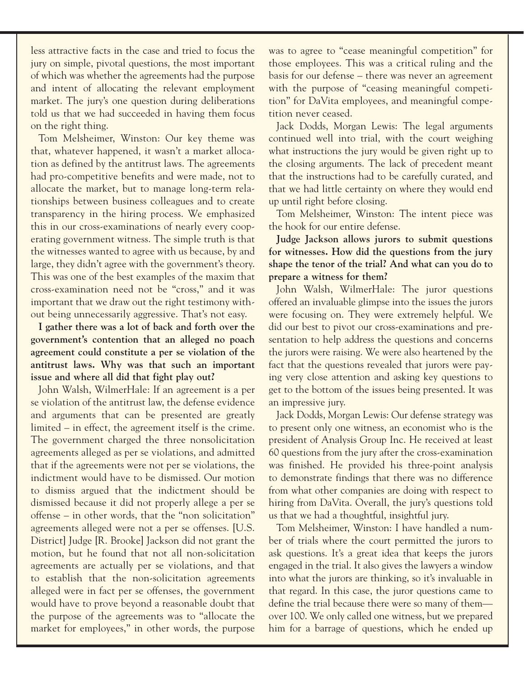less attractive facts in the case and tried to focus the jury on simple, pivotal questions, the most important of which was whether the agreements had the purpose and intent of allocating the relevant employment market. The jury's one question during deliberations told us that we had succeeded in having them focus on the right thing.

Tom Melsheimer, Winston: Our key theme was that, whatever happened, it wasn't a market allocation as defined by the antitrust laws. The agreements had pro-competitive benefits and were made, not to allocate the market, but to manage long-term relationships between business colleagues and to create transparency in the hiring process. We emphasized this in our cross-examinations of nearly every cooperating government witness. The simple truth is that the witnesses wanted to agree with us because, by and large, they didn't agree with the government's theory. This was one of the best examples of the maxim that cross-examination need not be "cross," and it was important that we draw out the right testimony without being unnecessarily aggressive. That's not easy.

**I gather there was a lot of back and forth over the government's contention that an alleged no poach agreement could constitute a per se violation of the antitrust laws. Why was that such an important issue and where all did that fight play out?**

John Walsh, WilmerHale: If an agreement is a per se violation of the antitrust law, the defense evidence and arguments that can be presented are greatly limited – in effect, the agreement itself is the crime. The government charged the three nonsolicitation agreements alleged as per se violations, and admitted that if the agreements were not per se violations, the indictment would have to be dismissed. Our motion to dismiss argued that the indictment should be dismissed because it did not properly allege a per se offense – in other words, that the "non solicitation" agreements alleged were not a per se offenses. [U.S. District] Judge [R. Brooke] Jackson [did not grant the](https://casetext.com/case/united-states-v-davita-inc)  [motion](https://casetext.com/case/united-states-v-davita-inc), but he found that not all non-solicitation agreements are actually per se violations, and that to establish that the non-solicitation agreements alleged were in fact per se offenses, the government would have to prove beyond a reasonable doubt that the purpose of the agreements was to "allocate the market for employees," in other words, the purpose was to agree to "cease meaningful competition" for those employees. This was a critical ruling and the basis for our defense – there was never an agreement with the purpose of "ceasing meaningful competition" for DaVita employees, and meaningful competition never ceased.

Jack Dodds, Morgan Lewis: The legal arguments continued well into trial, with the court weighing what instructions the jury would be given right up to the closing arguments. The lack of precedent meant that the instructions had to be carefully curated, and that we had little certainty on where they would end up until right before closing.

Tom Melsheimer, Winston: The intent piece was the hook for our entire defense.

**Judge Jackson allows jurors to submit questions for witnesses. How did the questions from the jury shape the tenor of the trial? And what can you do to prepare a witness for them?**

John Walsh, WilmerHale: The juror questions offered an invaluable glimpse into the issues the jurors were focusing on. They were extremely helpful. We did our best to pivot our cross-examinations and presentation to help address the questions and concerns the jurors were raising. We were also heartened by the fact that the questions revealed that jurors were paying very close attention and asking key questions to get to the bottom of the issues being presented. It was an impressive jury.

Jack Dodds, Morgan Lewis: Our defense strategy was to present only one witness, an economist who is the president of Analysis Group Inc. He received at least 60 questions from the jury after the cross-examination was finished. He provided his three-point analysis to demonstrate findings that there was no difference from what other companies are doing with respect to hiring from DaVita. Overall, the jury's questions told us that we had a thoughtful, insightful jury.

Tom Melsheimer, Winston: I have handled a number of trials where the court permitted the jurors to ask questions. It's a great idea that keeps the jurors engaged in the trial. It also gives the lawyers a window into what the jurors are thinking, so it's invaluable in that regard. In this case, the juror questions came to define the trial because there were so many of them over 100. We only called one witness, but we prepared him for a barrage of questions, which he ended up